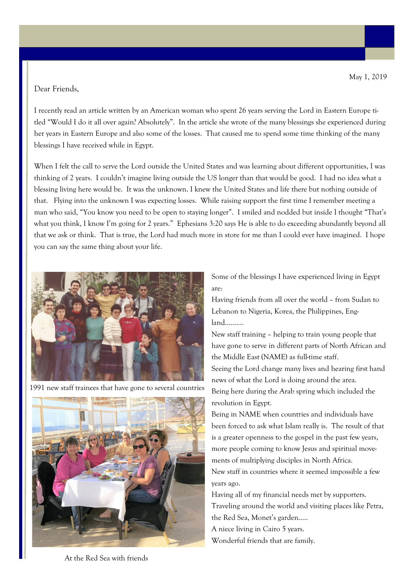## Dear Friends,

I recently read an article written by an American woman who spent 26 years serving the Lord in Eastern Europe titled "Would I do it all over again? Absolutely". In the article she wrote of the many blessings she experienced during her years in Eastern Europe and also some of the losses. That caused me to spend some time thinking of the many blessings I have received while in Egypt.

When I felt the call to serve the Lord outside the United States and was learning about different opportunities, I was thinking of 2 years. I couldn't imagine living outside the US longer than that would be good. I had no idea what a blessing living here would be. It was the unknown. I knew the United States and life there but nothing outside of that. Flying into the unknown I was expecting losses. While raising support the first time I remember meeting a man who said, "You know you need to be open to staying longer". I smiled and nodded but inside I thought "That's what you think, I know I'm going for 2 years." Ephesians 3:20 says He is able to do exceeding abundantly beyond all that we ask or think. That is true, the Lord had much more in store for me than I could ever have imagined. I hope you can say the same thing about your life.



1991 new staff trainees that have gone to several countries



Some of the blessings I have experienced living in Egypt are:

Having friends from all over the world – from Sudan to Lebanon to Nigeria, Korea, the Philippines, England……….

New staff training – helping to train young people that have gone to serve in different parts of North African and the Middle East (NAME) as full-time staff. Seeing the Lord change many lives and hearing first hand news of what the Lord is doing around the area. Being here during the Arab spring which included the revolution in Egypt.

Being in NAME when countries and individuals have been forced to ask what Islam really is. The result of that is a greater openness to the gospel in the past few years, more people coming to know Jesus and spiritual movements of multiplying disciples in North Africa.

New staff in countries where it seemed impossible a few years ago.

Having all of my financial needs met by supporters. Traveling around the world and visiting places like Petra, the Red Sea, Monet's garden….. A niece living in Cairo 5 years. Wonderful friends that are family.

At the Red Sea with friends